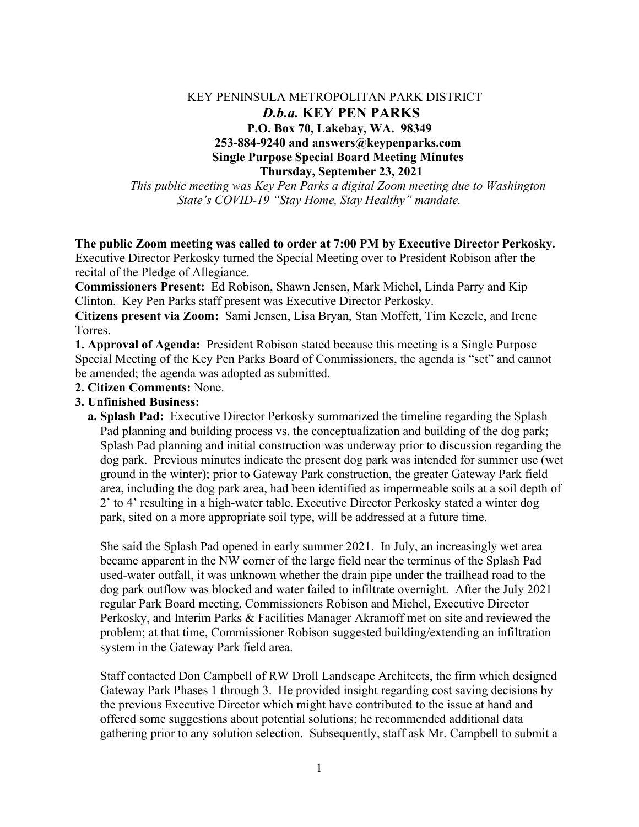## KEY PENINSULA METROPOLITAN PARK DISTRICT  *D.b.a.* **KEY PEN PARKS P.O. Box 70, Lakebay, WA. 98349 253-884-9240 and answers@keypenparks.com Single Purpose Special Board Meeting Minutes Thursday, September 23, 2021**

*This public meeting was Key Pen Parks a digital Zoom meeting due to Washington State's COVID-19 "Stay Home, Stay Healthy" mandate.*

## **The public Zoom meeting was called to order at 7:00 PM by Executive Director Perkosky.**

Executive Director Perkosky turned the Special Meeting over to President Robison after the recital of the Pledge of Allegiance.

**Commissioners Present:** Ed Robison, Shawn Jensen, Mark Michel, Linda Parry and Kip Clinton. Key Pen Parks staff present was Executive Director Perkosky.

**Citizens present via Zoom:** Sami Jensen, Lisa Bryan, Stan Moffett, Tim Kezele, and Irene Torres.

**1. Approval of Agenda:** President Robison stated because this meeting is a Single Purpose Special Meeting of the Key Pen Parks Board of Commissioners, the agenda is "set" and cannot be amended; the agenda was adopted as submitted.

**2. Citizen Comments:** None.

## **3. Unfinished Business:**

 **a. Splash Pad:** Executive Director Perkosky summarized the timeline regarding the Splash Pad planning and building process vs. the conceptualization and building of the dog park; Splash Pad planning and initial construction was underway prior to discussion regarding the dog park. Previous minutes indicate the present dog park was intended for summer use (wet ground in the winter); prior to Gateway Park construction, the greater Gateway Park field area, including the dog park area, had been identified as impermeable soils at a soil depth of 2' to 4' resulting in a high-water table. Executive Director Perkosky stated a winter dog park, sited on a more appropriate soil type, will be addressed at a future time.

 She said the Splash Pad opened in early summer 2021. In July, an increasingly wet area became apparent in the NW corner of the large field near the terminus of the Splash Pad used-water outfall, it was unknown whether the drain pipe under the trailhead road to the dog park outflow was blocked and water failed to infiltrate overnight. After the July 2021 regular Park Board meeting, Commissioners Robison and Michel, Executive Director Perkosky, and Interim Parks & Facilities Manager Akramoff met on site and reviewed the problem; at that time, Commissioner Robison suggested building/extending an infiltration system in the Gateway Park field area.

 Staff contacted Don Campbell of RW Droll Landscape Architects, the firm which designed Gateway Park Phases 1 through 3. He provided insight regarding cost saving decisions by the previous Executive Director which might have contributed to the issue at hand and offered some suggestions about potential solutions; he recommended additional data gathering prior to any solution selection. Subsequently, staff ask Mr. Campbell to submit a